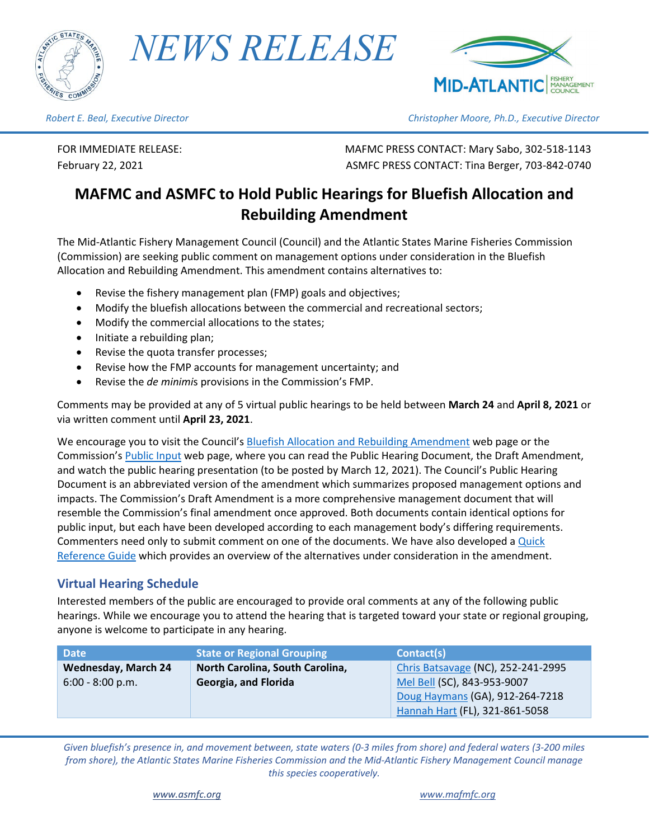

*NEWS RELEASE*



*Robert E. Beal, Executive Director Christopher Moore, Ph.D., Executive Director*

FOR IMMEDIATE RELEASE: MAFMC PRESS CONTACT: Mary Sabo, 302-518-1143 February 22, 2021 ASMFC PRESS CONTACT: Tina Berger, 703-842-0740

# **MAFMC and ASMFC to Hold Public Hearings for Bluefish Allocation and Rebuilding Amendment**

The Mid-Atlantic Fishery Management Council (Council) and the Atlantic States Marine Fisheries Commission (Commission) are seeking public comment on management options under consideration in the Bluefish Allocation and Rebuilding Amendment. This amendment contains alternatives to:

- Revise the fishery management plan (FMP) goals and objectives;
- Modify the bluefish allocations between the commercial and recreational sectors;
- Modify the commercial allocations to the states;
- Initiate a rebuilding plan;
- Revise the quota transfer processes;
- Revise how the FMP accounts for management uncertainty; and
- Revise the *de minimi*s provisions in the Commission's FMP.

Comments may be provided at any of 5 virtual public hearings to be held between **March 24** and **April 8, 2021** or via written comment until **April 23, 2021**.

We encourage you to visit the Council's [Bluefish Allocation and Rebuilding Amendment](https://www.mafmc.org/actions/bluefish-allocation-amendment) web page or the Commission's [Public Input](http://www.asmfc.org/about-us/public-input) web page, where you can read the Public Hearing Document, the Draft Amendment, and watch the public hearing presentation (to be posted by March 12, 2021). The Council's Public Hearing Document is an abbreviated version of the amendment which summarizes proposed management options and impacts. The Commission's Draft Amendment is a more comprehensive management document that will resemble the Commission's final amendment once approved. Both documents contain identical options for public input, but each have been developed according to each management body's differing requirements. Commenters need only to submit comment on one of the documents. We have also developed a Quick [Reference Guide](https://www.mafmc.org/s/Bluefish-Allocation-Reference-Guide_2021-02.pdf) which provides an overview of the alternatives under consideration in the amendment.

## **Virtual Hearing Schedule**

Interested members of the public are encouraged to provide oral comments at any of the following public hearings. While we encourage you to attend the hearing that is targeted toward your state or regional grouping, anyone is welcome to participate in any hearing.

| <b>Date</b>                | State or Regional Grouping      | Contact(s)                         |
|----------------------------|---------------------------------|------------------------------------|
| <b>Wednesday, March 24</b> | North Carolina, South Carolina, | Chris Batsavage (NC), 252-241-2995 |
| $6:00 - 8:00 p.m.$         | Georgia, and Florida            | Mel Bell (SC), 843-953-9007        |
|                            |                                 | Doug Haymans (GA), 912-264-7218    |
|                            |                                 | Hannah Hart (FL), 321-861-5058     |

*Given bluefish's presence in, and movement between, state waters (0-3 miles from shore) and federal waters (3-200 miles from shore), the Atlantic States Marine Fisheries Commission and the Mid-Atlantic Fishery Management Council manage this species cooperatively.*